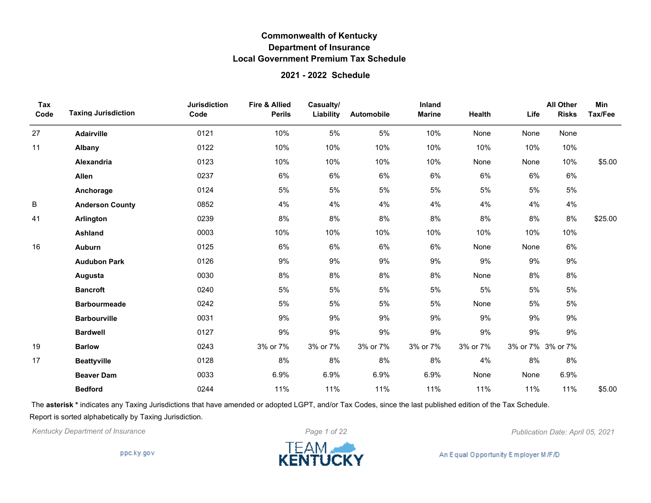#### **2021 - 2022 Schedule**

| Tax<br>Code | <b>Taxing Jurisdiction</b> | <b>Jurisdiction</b><br>Code | <b>Fire &amp; Allied</b><br><b>Perils</b> | Casualty/<br>Liability | Automobile | Inland<br><b>Marine</b> | Health   | Life              | <b>All Other</b><br><b>Risks</b> | Min<br>Tax/Fee |
|-------------|----------------------------|-----------------------------|-------------------------------------------|------------------------|------------|-------------------------|----------|-------------------|----------------------------------|----------------|
| 27          | Adairville                 | 0121                        | 10%                                       | 5%                     | 5%         | 10%                     | None     | None              | None                             |                |
| 11          | Albany                     | 0122                        | 10%                                       | 10%                    | 10%        | 10%                     | 10%      | 10%               | 10%                              |                |
|             | <b>Alexandria</b>          | 0123                        | 10%                                       | 10%                    | 10%        | 10%                     | None     | None              | 10%                              | \$5.00         |
|             | Allen                      | 0237                        | 6%                                        | $6\%$                  | $6\%$      | 6%                      | $6\%$    | 6%                | $6\%$                            |                |
|             | Anchorage                  | 0124                        | 5%                                        | 5%                     | 5%         | 5%                      | 5%       | 5%                | 5%                               |                |
| B           | <b>Anderson County</b>     | 0852                        | 4%                                        | 4%                     | 4%         | 4%                      | 4%       | 4%                | 4%                               |                |
| 41          | Arlington                  | 0239                        | 8%                                        | 8%                     | 8%         | $8\%$                   | 8%       | 8%                | 8%                               | \$25.00        |
|             | <b>Ashland</b>             | 0003                        | 10%                                       | 10%                    | 10%        | 10%                     | 10%      | 10%               | 10%                              |                |
| 16          | Auburn                     | 0125                        | 6%                                        | $6\%$                  | 6%         | $6\%$                   | None     | None              | $6\%$                            |                |
|             | <b>Audubon Park</b>        | 0126                        | 9%                                        | 9%                     | 9%         | $9\%$                   | 9%       | 9%                | $9\%$                            |                |
|             | Augusta                    | 0030                        | 8%                                        | 8%                     | 8%         | 8%                      | None     | 8%                | 8%                               |                |
|             | <b>Bancroft</b>            | 0240                        | 5%                                        | 5%                     | 5%         | 5%                      | 5%       | 5%                | 5%                               |                |
|             | <b>Barbourmeade</b>        | 0242                        | 5%                                        | 5%                     | 5%         | 5%                      | None     | 5%                | 5%                               |                |
|             | <b>Barbourville</b>        | 0031                        | 9%                                        | 9%                     | 9%         | 9%                      | 9%       | 9%                | 9%                               |                |
|             | <b>Bardwell</b>            | 0127                        | 9%                                        | 9%                     | 9%         | 9%                      | $9\%$    | $9\%$             | 9%                               |                |
| 19          | <b>Barlow</b>              | 0243                        | 3% or 7%                                  | 3% or 7%               | 3% or 7%   | 3% or 7%                | 3% or 7% | 3% or 7% 3% or 7% |                                  |                |
| 17          | <b>Beattyville</b>         | 0128                        | 8%                                        | 8%                     | 8%         | $8\%$                   | 4%       | 8%                | 8%                               |                |
|             | <b>Beaver Dam</b>          | 0033                        | 6.9%                                      | 6.9%                   | 6.9%       | 6.9%                    | None     | None              | 6.9%                             |                |
|             | <b>Bedford</b>             | 0244                        | 11%                                       | 11%                    | 11%        | 11%                     | 11%      | 11%               | 11%                              | \$5.00         |

The **asterisk \*** indicates any Taxing Jurisdictions that have amended or adopted LGPT, and/or Tax Codes, since the last published edition of the Tax Schedule. Report is sorted alphabetically by Taxing Jurisdiction.

*Kentucky Department of Insurance Page 1 of 22 Publication Date: April 05, 2021*

ppc.ky.gov

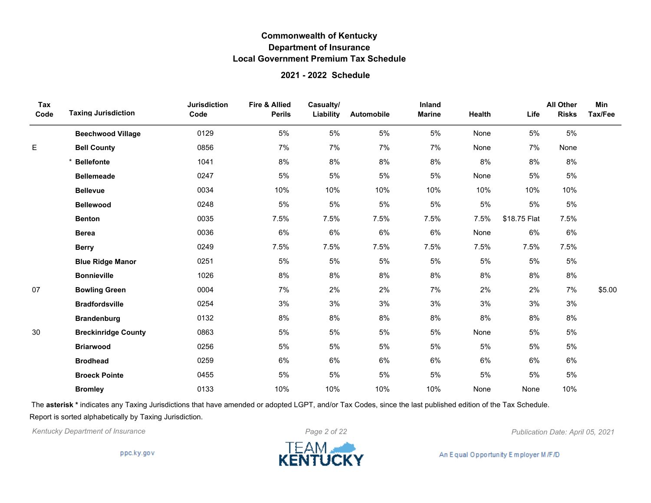#### **2021 - 2022 Schedule**

| Tax<br>Code | <b>Taxing Jurisdiction</b> | <b>Jurisdiction</b><br>Code | <b>Fire &amp; Allied</b><br><b>Perils</b> | Casualty/<br>Liability | Automobile | Inland<br><b>Marine</b> | Health | Life         | <b>All Other</b><br><b>Risks</b> | Min<br>Tax/Fee |
|-------------|----------------------------|-----------------------------|-------------------------------------------|------------------------|------------|-------------------------|--------|--------------|----------------------------------|----------------|
|             | <b>Beechwood Village</b>   | 0129                        | 5%                                        | 5%                     | 5%         | 5%                      | None   | 5%           | 5%                               |                |
| E           | <b>Bell County</b>         | 0856                        | 7%                                        | 7%                     | 7%         | 7%                      | None   | 7%           | None                             |                |
|             | <b>Bellefonte</b>          | 1041                        | 8%                                        | 8%                     | 8%         | 8%                      | 8%     | 8%           | 8%                               |                |
|             | <b>Bellemeade</b>          | 0247                        | 5%                                        | 5%                     | 5%         | 5%                      | None   | 5%           | 5%                               |                |
|             | <b>Bellevue</b>            | 0034                        | 10%                                       | 10%                    | 10%        | 10%                     | 10%    | 10%          | 10%                              |                |
|             | <b>Bellewood</b>           | 0248                        | 5%                                        | 5%                     | 5%         | 5%                      | 5%     | 5%           | 5%                               |                |
|             | <b>Benton</b>              | 0035                        | 7.5%                                      | 7.5%                   | 7.5%       | 7.5%                    | 7.5%   | \$18.75 Flat | 7.5%                             |                |
|             | <b>Berea</b>               | 0036                        | 6%                                        | 6%                     | 6%         | 6%                      | None   | 6%           | 6%                               |                |
|             | <b>Berry</b>               | 0249                        | 7.5%                                      | 7.5%                   | 7.5%       | 7.5%                    | 7.5%   | 7.5%         | 7.5%                             |                |
|             | <b>Blue Ridge Manor</b>    | 0251                        | 5%                                        | 5%                     | 5%         | 5%                      | 5%     | 5%           | 5%                               |                |
|             | <b>Bonnieville</b>         | 1026                        | 8%                                        | 8%                     | 8%         | 8%                      | 8%     | 8%           | 8%                               |                |
| 07          | <b>Bowling Green</b>       | 0004                        | 7%                                        | 2%                     | 2%         | 7%                      | 2%     | 2%           | 7%                               | \$5.00         |
|             | <b>Bradfordsville</b>      | 0254                        | 3%                                        | 3%                     | 3%         | 3%                      | 3%     | 3%           | 3%                               |                |
|             | <b>Brandenburg</b>         | 0132                        | 8%                                        | 8%                     | $8\%$      | 8%                      | $8\%$  | 8%           | 8%                               |                |
| 30          | <b>Breckinridge County</b> | 0863                        | 5%                                        | 5%                     | 5%         | 5%                      | None   | 5%           | 5%                               |                |
|             | <b>Briarwood</b>           | 0256                        | 5%                                        | 5%                     | 5%         | 5%                      | 5%     | 5%           | 5%                               |                |
|             | <b>Brodhead</b>            | 0259                        | 6%                                        | 6%                     | 6%         | 6%                      | 6%     | 6%           | 6%                               |                |
|             | <b>Broeck Pointe</b>       | 0455                        | 5%                                        | 5%                     | 5%         | 5%                      | 5%     | 5%           | 5%                               |                |
|             | <b>Bromley</b>             | 0133                        | 10%                                       | 10%                    | 10%        | 10%                     | None   | None         | 10%                              |                |

The **asterisk \*** indicates any Taxing Jurisdictions that have amended or adopted LGPT, and/or Tax Codes, since the last published edition of the Tax Schedule. Report is sorted alphabetically by Taxing Jurisdiction.



ppc.ky.gov

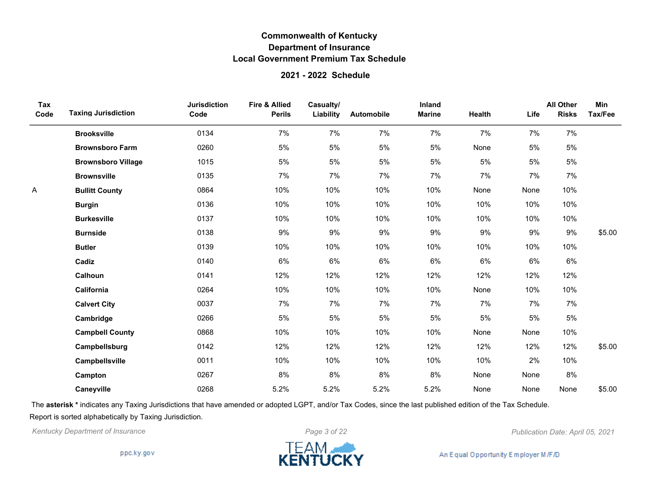### **2021 - 2022 Schedule**

| Tax<br>Code | <b>Taxing Jurisdiction</b> | <b>Jurisdiction</b><br>Code | <b>Fire &amp; Allied</b><br><b>Perils</b> | Casualty/<br>Liability | Automobile | Inland<br><b>Marine</b> | Health | Life | <b>All Other</b><br><b>Risks</b> | Min<br>Tax/Fee |
|-------------|----------------------------|-----------------------------|-------------------------------------------|------------------------|------------|-------------------------|--------|------|----------------------------------|----------------|
|             | <b>Brooksville</b>         | 0134                        | 7%                                        | 7%                     | 7%         | 7%                      | 7%     | 7%   | 7%                               |                |
|             | <b>Brownsboro Farm</b>     | 0260                        | 5%                                        | 5%                     | 5%         | 5%                      | None   | 5%   | 5%                               |                |
|             | <b>Brownsboro Village</b>  | 1015                        | 5%                                        | 5%                     | 5%         | 5%                      | 5%     | 5%   | 5%                               |                |
|             | <b>Brownsville</b>         | 0135                        | 7%                                        | 7%                     | 7%         | 7%                      | 7%     | 7%   | 7%                               |                |
| A           | <b>Bullitt County</b>      | 0864                        | 10%                                       | 10%                    | 10%        | 10%                     | None   | None | 10%                              |                |
|             | <b>Burgin</b>              | 0136                        | 10%                                       | 10%                    | 10%        | 10%                     | 10%    | 10%  | 10%                              |                |
|             | <b>Burkesville</b>         | 0137                        | 10%                                       | 10%                    | 10%        | 10%                     | 10%    | 10%  | 10%                              |                |
|             | <b>Burnside</b>            | 0138                        | 9%                                        | 9%                     | 9%         | 9%                      | $9\%$  | 9%   | 9%                               | \$5.00         |
|             | <b>Butler</b>              | 0139                        | 10%                                       | 10%                    | 10%        | 10%                     | 10%    | 10%  | 10%                              |                |
|             | Cadiz                      | 0140                        | 6%                                        | 6%                     | 6%         | 6%                      | $6\%$  | 6%   | 6%                               |                |
|             | Calhoun                    | 0141                        | 12%                                       | 12%                    | 12%        | 12%                     | 12%    | 12%  | 12%                              |                |
|             | California                 | 0264                        | 10%                                       | 10%                    | 10%        | 10%                     | None   | 10%  | 10%                              |                |
|             | <b>Calvert City</b>        | 0037                        | 7%                                        | 7%                     | 7%         | 7%                      | 7%     | 7%   | 7%                               |                |
|             | Cambridge                  | 0266                        | 5%                                        | 5%                     | 5%         | 5%                      | 5%     | 5%   | 5%                               |                |
|             | <b>Campbell County</b>     | 0868                        | 10%                                       | 10%                    | 10%        | 10%                     | None   | None | 10%                              |                |
|             | Campbellsburg              | 0142                        | 12%                                       | 12%                    | 12%        | 12%                     | 12%    | 12%  | 12%                              | \$5.00         |
|             | Campbellsville             | 0011                        | 10%                                       | 10%                    | 10%        | 10%                     | 10%    | 2%   | 10%                              |                |
|             | Campton                    | 0267                        | 8%                                        | 8%                     | 8%         | 8%                      | None   | None | 8%                               |                |
|             | Caneyville                 | 0268                        | 5.2%                                      | 5.2%                   | 5.2%       | 5.2%                    | None   | None | None                             | \$5.00         |

The **asterisk \*** indicates any Taxing Jurisdictions that have amended or adopted LGPT, and/or Tax Codes, since the last published edition of the Tax Schedule. Report is sorted alphabetically by Taxing Jurisdiction.

*Kentucky Department of Insurance Page 3 of 22 Publication Date: April 05, 2021*

ppc.ky.gov

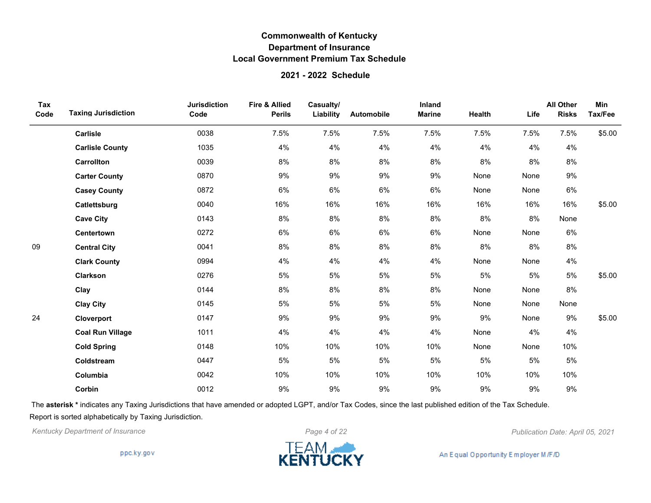#### **2021 - 2022 Schedule**

| Tax<br>Code | <b>Taxing Jurisdiction</b> | <b>Jurisdiction</b><br>Code | <b>Fire &amp; Allied</b><br><b>Perils</b> | Casualty/<br>Liability | Automobile | Inland<br><b>Marine</b> | Health | Life | <b>All Other</b><br><b>Risks</b> | Min<br>Tax/Fee |
|-------------|----------------------------|-----------------------------|-------------------------------------------|------------------------|------------|-------------------------|--------|------|----------------------------------|----------------|
|             | Carlisle                   | 0038                        | 7.5%                                      | 7.5%                   | 7.5%       | 7.5%                    | 7.5%   | 7.5% | 7.5%                             | \$5.00         |
|             | <b>Carlisle County</b>     | 1035                        | 4%                                        | 4%                     | 4%         | 4%                      | 4%     | 4%   | 4%                               |                |
|             | <b>Carrollton</b>          | 0039                        | 8%                                        | 8%                     | 8%         | 8%                      | 8%     | 8%   | 8%                               |                |
|             | <b>Carter County</b>       | 0870                        | 9%                                        | 9%                     | $9\%$      | 9%                      | None   | None | 9%                               |                |
|             | <b>Casey County</b>        | 0872                        | 6%                                        | 6%                     | 6%         | 6%                      | None   | None | 6%                               |                |
|             | Catlettsburg               | 0040                        | 16%                                       | 16%                    | 16%        | 16%                     | 16%    | 16%  | 16%                              | \$5.00         |
|             | <b>Cave City</b>           | 0143                        | 8%                                        | 8%                     | 8%         | 8%                      | 8%     | 8%   | None                             |                |
|             | Centertown                 | 0272                        | 6%                                        | 6%                     | 6%         | 6%                      | None   | None | 6%                               |                |
| 09          | <b>Central City</b>        | 0041                        | 8%                                        | 8%                     | $8\%$      | 8%                      | 8%     | 8%   | 8%                               |                |
|             | <b>Clark County</b>        | 0994                        | 4%                                        | 4%                     | 4%         | 4%                      | None   | None | 4%                               |                |
|             | Clarkson                   | 0276                        | 5%                                        | 5%                     | 5%         | 5%                      | 5%     | 5%   | 5%                               | \$5.00         |
|             | Clay                       | 0144                        | 8%                                        | 8%                     | 8%         | 8%                      | None   | None | 8%                               |                |
|             | <b>Clay City</b>           | 0145                        | 5%                                        | 5%                     | 5%         | 5%                      | None   | None | None                             |                |
| 24          | Cloverport                 | 0147                        | 9%                                        | 9%                     | $9\%$      | 9%                      | 9%     | None | 9%                               | \$5.00         |
|             | <b>Coal Run Village</b>    | 1011                        | 4%                                        | 4%                     | 4%         | 4%                      | None   | 4%   | 4%                               |                |
|             | <b>Cold Spring</b>         | 0148                        | 10%                                       | 10%                    | 10%        | 10%                     | None   | None | 10%                              |                |
|             | Coldstream                 | 0447                        | 5%                                        | 5%                     | 5%         | 5%                      | 5%     | 5%   | 5%                               |                |
|             | Columbia                   | 0042                        | 10%                                       | 10%                    | 10%        | 10%                     | 10%    | 10%  | 10%                              |                |
|             | Corbin                     | 0012                        | 9%                                        | 9%                     | $9\%$      | 9%                      | 9%     | 9%   | 9%                               |                |

The **asterisk \*** indicates any Taxing Jurisdictions that have amended or adopted LGPT, and/or Tax Codes, since the last published edition of the Tax Schedule. Report is sorted alphabetically by Taxing Jurisdiction.

*Kentucky Department of Insurance Page 4 of 22 Publication Date: April 05, 2021*

ppc.ky.gov

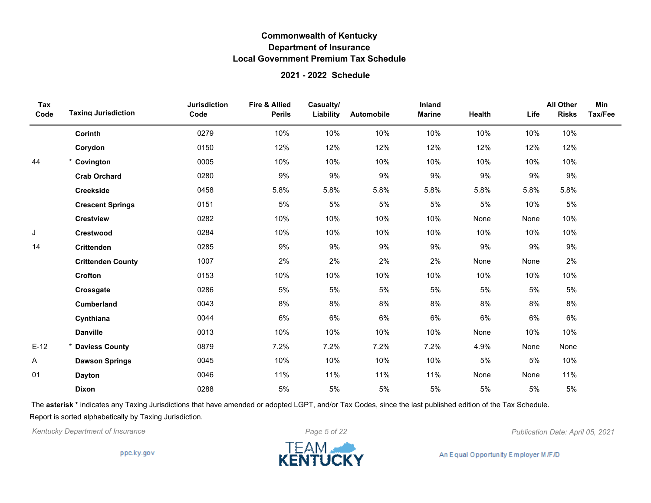### **2021 - 2022 Schedule**

| Tax<br>Code | <b>Taxing Jurisdiction</b> | <b>Jurisdiction</b><br>Code | <b>Fire &amp; Allied</b><br><b>Perils</b> | Casualty/<br>Liability | Automobile | Inland<br><b>Marine</b> | Health | Life  | <b>All Other</b><br><b>Risks</b> | Min<br>Tax/Fee |
|-------------|----------------------------|-----------------------------|-------------------------------------------|------------------------|------------|-------------------------|--------|-------|----------------------------------|----------------|
|             | Corinth                    | 0279                        | 10%                                       | 10%                    | 10%        | 10%                     | 10%    | 10%   | 10%                              |                |
|             | Corydon                    | 0150                        | 12%                                       | 12%                    | 12%        | 12%                     | 12%    | 12%   | 12%                              |                |
| 44          | * Covington                | 0005                        | 10%                                       | 10%                    | 10%        | 10%                     | 10%    | 10%   | 10%                              |                |
|             | <b>Crab Orchard</b>        | 0280                        | 9%                                        | 9%                     | 9%         | 9%                      | 9%     | 9%    | 9%                               |                |
|             | Creekside                  | 0458                        | 5.8%                                      | 5.8%                   | 5.8%       | 5.8%                    | 5.8%   | 5.8%  | 5.8%                             |                |
|             | <b>Crescent Springs</b>    | 0151                        | 5%                                        | 5%                     | 5%         | 5%                      | 5%     | 10%   | 5%                               |                |
|             | <b>Crestview</b>           | 0282                        | 10%                                       | 10%                    | 10%        | 10%                     | None   | None  | 10%                              |                |
| J           | Crestwood                  | 0284                        | 10%                                       | 10%                    | 10%        | 10%                     | 10%    | 10%   | 10%                              |                |
| 14          | <b>Crittenden</b>          | 0285                        | $9\%$                                     | 9%                     | $9\%$      | 9%                      | 9%     | $9\%$ | 9%                               |                |
|             | <b>Crittenden County</b>   | 1007                        | 2%                                        | 2%                     | 2%         | 2%                      | None   | None  | 2%                               |                |
|             | Crofton                    | 0153                        | 10%                                       | 10%                    | 10%        | 10%                     | 10%    | 10%   | 10%                              |                |
|             | Crossgate                  | 0286                        | 5%                                        | 5%                     | 5%         | 5%                      | 5%     | 5%    | 5%                               |                |
|             | <b>Cumberland</b>          | 0043                        | 8%                                        | 8%                     | 8%         | 8%                      | 8%     | 8%    | 8%                               |                |
|             | Cynthiana                  | 0044                        | 6%                                        | 6%                     | 6%         | 6%                      | 6%     | 6%    | 6%                               |                |
|             | <b>Danville</b>            | 0013                        | 10%                                       | 10%                    | 10%        | 10%                     | None   | 10%   | 10%                              |                |
| $E-12$      | * Daviess County           | 0879                        | 7.2%                                      | 7.2%                   | 7.2%       | 7.2%                    | 4.9%   | None  | None                             |                |
| Α           | <b>Dawson Springs</b>      | 0045                        | 10%                                       | 10%                    | 10%        | 10%                     | 5%     | 5%    | 10%                              |                |
| 01          | <b>Dayton</b>              | 0046                        | 11%                                       | 11%                    | 11%        | 11%                     | None   | None  | 11%                              |                |
|             | Dixon                      | 0288                        | 5%                                        | 5%                     | 5%         | 5%                      | 5%     | 5%    | 5%                               |                |

The **asterisk \*** indicates any Taxing Jurisdictions that have amended or adopted LGPT, and/or Tax Codes, since the last published edition of the Tax Schedule. Report is sorted alphabetically by Taxing Jurisdiction.



ppc.ky.gov

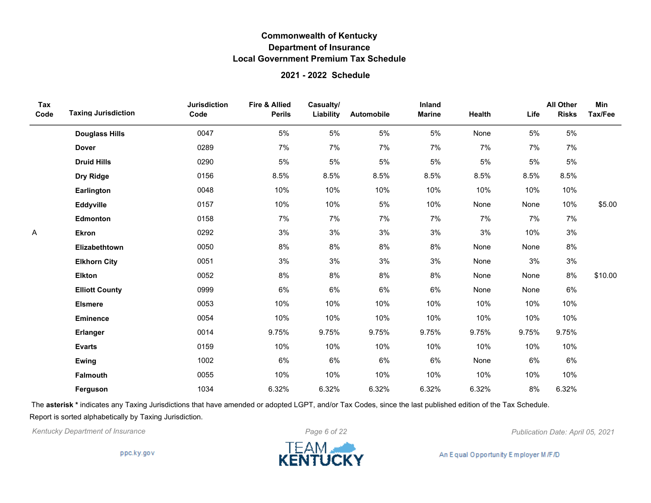#### **2021 - 2022 Schedule**

| Tax<br>Code | <b>Taxing Jurisdiction</b> | <b>Jurisdiction</b><br>Code | <b>Fire &amp; Allied</b><br><b>Perils</b> | Casualty/<br>Liability | Automobile | Inland<br><b>Marine</b> | Health | Life  | <b>All Other</b><br><b>Risks</b> | Min<br>Tax/Fee |
|-------------|----------------------------|-----------------------------|-------------------------------------------|------------------------|------------|-------------------------|--------|-------|----------------------------------|----------------|
|             | <b>Douglass Hills</b>      | 0047                        | 5%                                        | 5%                     | 5%         | 5%                      | None   | 5%    | 5%                               |                |
|             | <b>Dover</b>               | 0289                        | 7%                                        | 7%                     | 7%         | 7%                      | 7%     | 7%    | 7%                               |                |
|             | <b>Druid Hills</b>         | 0290                        | 5%                                        | 5%                     | 5%         | 5%                      | 5%     | 5%    | 5%                               |                |
|             | Dry Ridge                  | 0156                        | 8.5%                                      | 8.5%                   | 8.5%       | 8.5%                    | 8.5%   | 8.5%  | 8.5%                             |                |
|             | Earlington                 | 0048                        | 10%                                       | 10%                    | 10%        | 10%                     | 10%    | 10%   | 10%                              |                |
|             | Eddyville                  | 0157                        | 10%                                       | 10%                    | 5%         | 10%                     | None   | None  | 10%                              | \$5.00         |
|             | <b>Edmonton</b>            | 0158                        | 7%                                        | 7%                     | 7%         | 7%                      | 7%     | 7%    | 7%                               |                |
| Α           | <b>Ekron</b>               | 0292                        | 3%                                        | 3%                     | 3%         | 3%                      | 3%     | 10%   | 3%                               |                |
|             | Elizabethtown              | 0050                        | 8%                                        | 8%                     | 8%         | 8%                      | None   | None  | 8%                               |                |
|             | <b>Elkhorn City</b>        | 0051                        | 3%                                        | 3%                     | 3%         | 3%                      | None   | 3%    | 3%                               |                |
|             | <b>Elkton</b>              | 0052                        | 8%                                        | 8%                     | 8%         | 8%                      | None   | None  | 8%                               | \$10.00        |
|             | <b>Elliott County</b>      | 0999                        | 6%                                        | 6%                     | 6%         | 6%                      | None   | None  | 6%                               |                |
|             | <b>Elsmere</b>             | 0053                        | 10%                                       | 10%                    | 10%        | 10%                     | 10%    | 10%   | 10%                              |                |
|             | Eminence                   | 0054                        | 10%                                       | 10%                    | 10%        | 10%                     | 10%    | 10%   | 10%                              |                |
|             | Erlanger                   | 0014                        | 9.75%                                     | 9.75%                  | 9.75%      | 9.75%                   | 9.75%  | 9.75% | 9.75%                            |                |
|             | <b>Evarts</b>              | 0159                        | 10%                                       | 10%                    | 10%        | 10%                     | 10%    | 10%   | 10%                              |                |
|             | Ewing                      | 1002                        | 6%                                        | 6%                     | 6%         | 6%                      | None   | 6%    | 6%                               |                |
|             | <b>Falmouth</b>            | 0055                        | 10%                                       | 10%                    | 10%        | 10%                     | 10%    | 10%   | 10%                              |                |
|             | Ferguson                   | 1034                        | 6.32%                                     | 6.32%                  | 6.32%      | 6.32%                   | 6.32%  | 8%    | 6.32%                            |                |

The **asterisk \*** indicates any Taxing Jurisdictions that have amended or adopted LGPT, and/or Tax Codes, since the last published edition of the Tax Schedule. Report is sorted alphabetically by Taxing Jurisdiction.



ppc.ky.gov

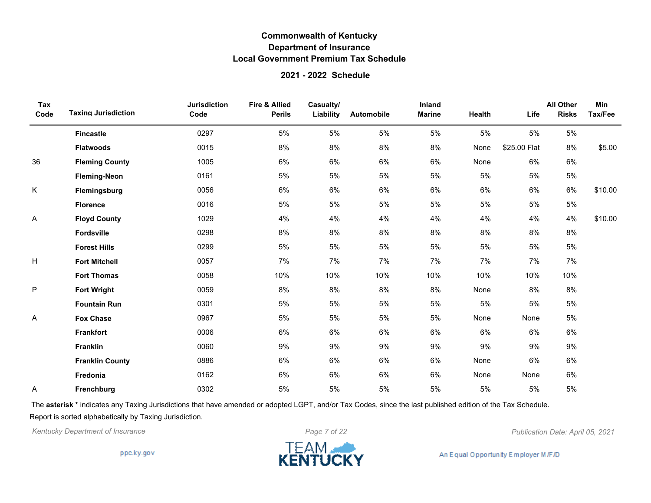#### **2021 - 2022 Schedule**

| Tax<br>Code | <b>Taxing Jurisdiction</b> | <b>Jurisdiction</b><br>Code | <b>Fire &amp; Allied</b><br><b>Perils</b> | Casualty/<br>Liability | Automobile | Inland<br><b>Marine</b> | Health | Life         | <b>All Other</b><br><b>Risks</b> | Min<br>Tax/Fee |
|-------------|----------------------------|-----------------------------|-------------------------------------------|------------------------|------------|-------------------------|--------|--------------|----------------------------------|----------------|
|             | <b>Fincastle</b>           | 0297                        | 5%                                        | 5%                     | 5%         | 5%                      | 5%     | 5%           | 5%                               |                |
|             | <b>Flatwoods</b>           | 0015                        | 8%                                        | 8%                     | 8%         | 8%                      | None   | \$25.00 Flat | 8%                               | \$5.00         |
| 36          | <b>Fleming County</b>      | 1005                        | 6%                                        | 6%                     | 6%         | 6%                      | None   | 6%           | 6%                               |                |
|             | <b>Fleming-Neon</b>        | 0161                        | 5%                                        | 5%                     | 5%         | 5%                      | 5%     | 5%           | 5%                               |                |
| Κ           | Flemingsburg               | 0056                        | 6%                                        | $6\%$                  | 6%         | $6\%$                   | 6%     | 6%           | 6%                               | \$10.00        |
|             | <b>Florence</b>            | 0016                        | 5%                                        | 5%                     | 5%         | 5%                      | 5%     | 5%           | 5%                               |                |
| Α           | <b>Floyd County</b>        | 1029                        | 4%                                        | 4%                     | 4%         | 4%                      | 4%     | 4%           | 4%                               | \$10.00        |
|             | Fordsville                 | 0298                        | 8%                                        | 8%                     | 8%         | 8%                      | 8%     | 8%           | 8%                               |                |
|             | <b>Forest Hills</b>        | 0299                        | 5%                                        | 5%                     | 5%         | $5\%$                   | 5%     | 5%           | $5\%$                            |                |
| н           | <b>Fort Mitchell</b>       | 0057                        | 7%                                        | 7%                     | 7%         | 7%                      | 7%     | 7%           | 7%                               |                |
|             | <b>Fort Thomas</b>         | 0058                        | 10%                                       | 10%                    | 10%        | 10%                     | 10%    | 10%          | 10%                              |                |
| P           | <b>Fort Wright</b>         | 0059                        | 8%                                        | 8%                     | 8%         | 8%                      | None   | 8%           | 8%                               |                |
|             | <b>Fountain Run</b>        | 0301                        | 5%                                        | 5%                     | 5%         | 5%                      | 5%     | 5%           | 5%                               |                |
| Α           | <b>Fox Chase</b>           | 0967                        | 5%                                        | 5%                     | 5%         | 5%                      | None   | None         | 5%                               |                |
|             | <b>Frankfort</b>           | 0006                        | 6%                                        | 6%                     | 6%         | 6%                      | 6%     | 6%           | 6%                               |                |
|             | <b>Franklin</b>            | 0060                        | 9%                                        | 9%                     | 9%         | 9%                      | 9%     | 9%           | 9%                               |                |
|             | <b>Franklin County</b>     | 0886                        | 6%                                        | 6%                     | 6%         | 6%                      | None   | 6%           | 6%                               |                |
|             | Fredonia                   | 0162                        | 6%                                        | 6%                     | 6%         | 6%                      | None   | None         | 6%                               |                |
| Α           | Frenchburg                 | 0302                        | 5%                                        | 5%                     | 5%         | 5%                      | 5%     | 5%           | 5%                               |                |

The **asterisk \*** indicates any Taxing Jurisdictions that have amended or adopted LGPT, and/or Tax Codes, since the last published edition of the Tax Schedule. Report is sorted alphabetically by Taxing Jurisdiction.



ppc.ky.gov

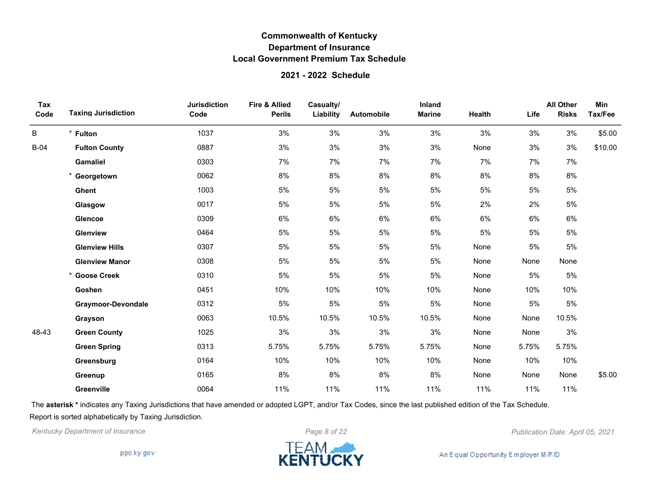#### **2021 - 2022 Schedule**

| Tax<br>Code | <b>Taxing Jurisdiction</b> | <b>Jurisdiction</b><br>Code | <b>Fire &amp; Allied</b><br><b>Perils</b> | Casualty/<br>Liability | Automobile | Inland<br><b>Marine</b> | Health | Life  | <b>All Other</b><br><b>Risks</b> | Min<br>Tax/Fee |
|-------------|----------------------------|-----------------------------|-------------------------------------------|------------------------|------------|-------------------------|--------|-------|----------------------------------|----------------|
| B           | * Fulton                   | 1037                        | 3%                                        | 3%                     | 3%         | 3%                      | 3%     | 3%    | 3%                               | \$5.00         |
| $B-04$      | <b>Fulton County</b>       | 0887                        | 3%                                        | 3%                     | 3%         | 3%                      | None   | 3%    | 3%                               | \$10.00        |
|             | Gamaliel                   | 0303                        | 7%                                        | 7%                     | 7%         | 7%                      | 7%     | 7%    | 7%                               |                |
|             | * Georgetown               | 0062                        | 8%                                        | 8%                     | 8%         | 8%                      | 8%     | 8%    | 8%                               |                |
|             | Ghent                      | 1003                        | 5%                                        | $5\%$                  | 5%         | 5%                      | 5%     | 5%    | $5\%$                            |                |
|             | Glasgow                    | 0017                        | 5%                                        | 5%                     | 5%         | 5%                      | 2%     | 2%    | 5%                               |                |
|             | Glencoe                    | 0309                        | 6%                                        | 6%                     | 6%         | 6%                      | 6%     | 6%    | 6%                               |                |
|             | Glenview                   | 0464                        | 5%                                        | 5%                     | 5%         | 5%                      | 5%     | 5%    | 5%                               |                |
|             | <b>Glenview Hills</b>      | 0307                        | 5%                                        | $5\%$                  | 5%         | 5%                      | None   | 5%    | $5\%$                            |                |
|             | <b>Glenview Manor</b>      | 0308                        | 5%                                        | 5%                     | 5%         | 5%                      | None   | None  | None                             |                |
|             | * Goose Creek              | 0310                        | 5%                                        | 5%                     | 5%         | 5%                      | None   | 5%    | 5%                               |                |
|             | Goshen                     | 0451                        | 10%                                       | 10%                    | 10%        | 10%                     | None   | 10%   | 10%                              |                |
|             | <b>Graymoor-Devondale</b>  | 0312                        | 5%                                        | $5\%$                  | 5%         | 5%                      | None   | 5%    | 5%                               |                |
|             | Grayson                    | 0063                        | 10.5%                                     | 10.5%                  | 10.5%      | 10.5%                   | None   | None  | 10.5%                            |                |
| 48-43       | <b>Green County</b>        | 1025                        | 3%                                        | $3%$                   | 3%         | 3%                      | None   | None  | $3%$                             |                |
|             | <b>Green Spring</b>        | 0313                        | 5.75%                                     | 5.75%                  | 5.75%      | 5.75%                   | None   | 5.75% | 5.75%                            |                |
|             | Greensburg                 | 0164                        | 10%                                       | 10%                    | 10%        | 10%                     | None   | 10%   | 10%                              |                |
|             | Greenup                    | 0165                        | 8%                                        | 8%                     | 8%         | 8%                      | None   | None  | None                             | \$5.00         |
|             | <b>Greenville</b>          | 0064                        | 11%                                       | 11%                    | 11%        | 11%                     | 11%    | 11%   | 11%                              |                |

The **asterisk \*** indicates any Taxing Jurisdictions that have amended or adopted LGPT, and/or Tax Codes, since the last published edition of the Tax Schedule. Report is sorted alphabetically by Taxing Jurisdiction.

*Kentucky Department of Insurance Page 8 of 22 Publication Date: April 05, 2021*

ppc.ky.gov

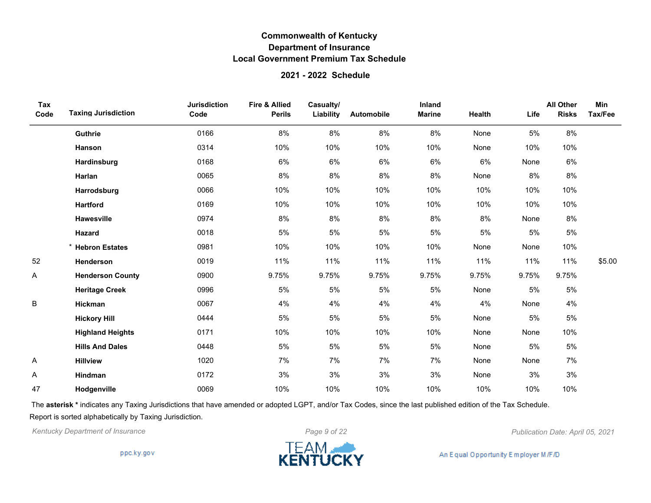### **2021 - 2022 Schedule**

| Tax<br>Code | <b>Taxing Jurisdiction</b> | <b>Jurisdiction</b><br>Code | <b>Fire &amp; Allied</b><br><b>Perils</b> | Casualty/<br>Liability | Automobile | Inland<br><b>Marine</b> | Health | Life  | <b>All Other</b><br><b>Risks</b> | Min<br>Tax/Fee |
|-------------|----------------------------|-----------------------------|-------------------------------------------|------------------------|------------|-------------------------|--------|-------|----------------------------------|----------------|
|             | Guthrie                    | 0166                        | 8%                                        | 8%                     | 8%         | 8%                      | None   | 5%    | 8%                               |                |
|             | Hanson                     | 0314                        | 10%                                       | 10%                    | 10%        | 10%                     | None   | 10%   | 10%                              |                |
|             | Hardinsburg                | 0168                        | 6%                                        | 6%                     | 6%         | 6%                      | 6%     | None  | 6%                               |                |
|             | Harlan                     | 0065                        | 8%                                        | 8%                     | 8%         | 8%                      | None   | 8%    | 8%                               |                |
|             | Harrodsburg                | 0066                        | 10%                                       | 10%                    | 10%        | 10%                     | 10%    | 10%   | 10%                              |                |
|             | <b>Hartford</b>            | 0169                        | 10%                                       | 10%                    | 10%        | 10%                     | 10%    | 10%   | 10%                              |                |
|             | Hawesville                 | 0974                        | 8%                                        | 8%                     | 8%         | 8%                      | 8%     | None  | 8%                               |                |
|             | Hazard                     | 0018                        | 5%                                        | 5%                     | 5%         | 5%                      | 5%     | 5%    | 5%                               |                |
|             | * Hebron Estates           | 0981                        | 10%                                       | 10%                    | 10%        | 10%                     | None   | None  | 10%                              |                |
| 52          | Henderson                  | 0019                        | 11%                                       | 11%                    | 11%        | 11%                     | 11%    | 11%   | 11%                              | \$5.00         |
| A           | <b>Henderson County</b>    | 0900                        | 9.75%                                     | 9.75%                  | 9.75%      | 9.75%                   | 9.75%  | 9.75% | 9.75%                            |                |
|             | <b>Heritage Creek</b>      | 0996                        | 5%                                        | $5\%$                  | 5%         | 5%                      | None   | 5%    | 5%                               |                |
| B           | Hickman                    | 0067                        | 4%                                        | 4%                     | 4%         | 4%                      | 4%     | None  | 4%                               |                |
|             | <b>Hickory Hill</b>        | 0444                        | 5%                                        | $5\%$                  | 5%         | 5%                      | None   | 5%    | 5%                               |                |
|             | <b>Highland Heights</b>    | 0171                        | 10%                                       | 10%                    | 10%        | 10%                     | None   | None  | 10%                              |                |
|             | <b>Hills And Dales</b>     | 0448                        | 5%                                        | 5%                     | 5%         | 5%                      | None   | 5%    | 5%                               |                |
| Α           | <b>Hillview</b>            | 1020                        | 7%                                        | 7%                     | 7%         | 7%                      | None   | None  | 7%                               |                |
| A           | Hindman                    | 0172                        | 3%                                        | 3%                     | 3%         | 3%                      | None   | 3%    | 3%                               |                |
| 47          | Hodgenville                | 0069                        | 10%                                       | 10%                    | 10%        | 10%                     | 10%    | 10%   | 10%                              |                |

The **asterisk \*** indicates any Taxing Jurisdictions that have amended or adopted LGPT, and/or Tax Codes, since the last published edition of the Tax Schedule. Report is sorted alphabetically by Taxing Jurisdiction.

*Kentucky Department of Insurance Page 9 of 22 Publication Date: April 05, 2021*

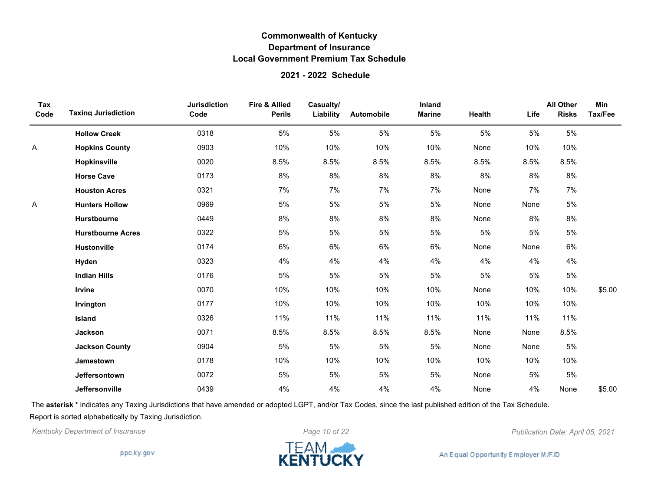### **2021 - 2022 Schedule**

| Tax<br>Code | <b>Taxing Jurisdiction</b> | <b>Jurisdiction</b><br>Code | <b>Fire &amp; Allied</b><br><b>Perils</b> | Casualty/<br>Liability | Automobile | Inland<br><b>Marine</b> | Health | Life | <b>All Other</b><br><b>Risks</b> | Min<br>Tax/Fee |
|-------------|----------------------------|-----------------------------|-------------------------------------------|------------------------|------------|-------------------------|--------|------|----------------------------------|----------------|
|             | <b>Hollow Creek</b>        | 0318                        | 5%                                        | 5%                     | 5%         | 5%                      | 5%     | 5%   | 5%                               |                |
| Α           | <b>Hopkins County</b>      | 0903                        | 10%                                       | 10%                    | 10%        | 10%                     | None   | 10%  | 10%                              |                |
|             | Hopkinsville               | 0020                        | 8.5%                                      | 8.5%                   | 8.5%       | 8.5%                    | 8.5%   | 8.5% | 8.5%                             |                |
|             | <b>Horse Cave</b>          | 0173                        | 8%                                        | $8\%$                  | $8\%$      | 8%                      | $8\%$  | 8%   | 8%                               |                |
|             | <b>Houston Acres</b>       | 0321                        | 7%                                        | 7%                     | 7%         | 7%                      | None   | 7%   | 7%                               |                |
| Α           | <b>Hunters Hollow</b>      | 0969                        | 5%                                        | 5%                     | 5%         | 5%                      | None   | None | $5\%$                            |                |
|             | <b>Hurstbourne</b>         | 0449                        | 8%                                        | 8%                     | 8%         | 8%                      | None   | 8%   | 8%                               |                |
|             | <b>Hurstbourne Acres</b>   | 0322                        | 5%                                        | 5%                     | 5%         | 5%                      | 5%     | 5%   | $5\%$                            |                |
|             | <b>Hustonville</b>         | 0174                        | 6%                                        | 6%                     | 6%         | 6%                      | None   | None | 6%                               |                |
|             | Hyden                      | 0323                        | 4%                                        | 4%                     | 4%         | 4%                      | 4%     | 4%   | 4%                               |                |
|             | <b>Indian Hills</b>        | 0176                        | 5%                                        | 5%                     | 5%         | 5%                      | 5%     | 5%   | 5%                               |                |
|             | <b>Irvine</b>              | 0070                        | 10%                                       | 10%                    | 10%        | 10%                     | None   | 10%  | 10%                              | \$5.00         |
|             | Irvington                  | 0177                        | 10%                                       | 10%                    | 10%        | 10%                     | 10%    | 10%  | 10%                              |                |
|             | Island                     | 0326                        | 11%                                       | 11%                    | 11%        | 11%                     | 11%    | 11%  | 11%                              |                |
|             | Jackson                    | 0071                        | 8.5%                                      | 8.5%                   | 8.5%       | 8.5%                    | None   | None | 8.5%                             |                |
|             | <b>Jackson County</b>      | 0904                        | 5%                                        | 5%                     | 5%         | 5%                      | None   | None | 5%                               |                |
|             | <b>Jamestown</b>           | 0178                        | 10%                                       | 10%                    | 10%        | 10%                     | 10%    | 10%  | 10%                              |                |
|             | Jeffersontown              | 0072                        | 5%                                        | 5%                     | 5%         | 5%                      | None   | 5%   | 5%                               |                |
|             | Jeffersonville             | 0439                        | 4%                                        | 4%                     | 4%         | 4%                      | None   | 4%   | None                             | \$5.00         |

The **asterisk \*** indicates any Taxing Jurisdictions that have amended or adopted LGPT, and/or Tax Codes, since the last published edition of the Tax Schedule. Report is sorted alphabetically by Taxing Jurisdiction.

*Kentucky Department of Insurance Page 10 of 22 Publication Date: April 05, 2021*

ppc.ky.gov

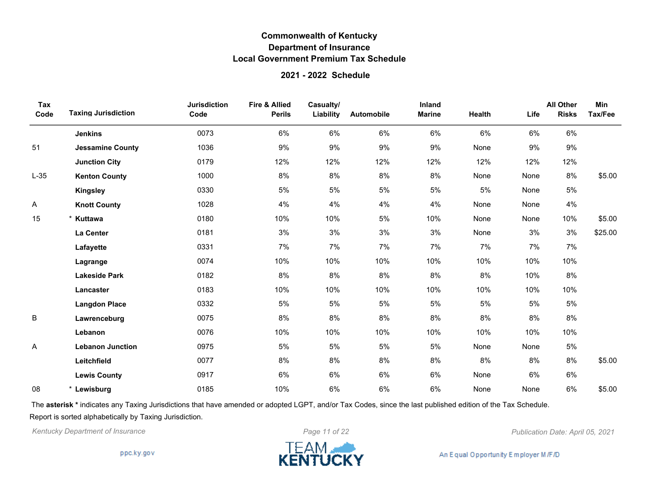#### **2021 - 2022 Schedule**

| Tax<br>Code | <b>Taxing Jurisdiction</b> | <b>Jurisdiction</b><br>Code | <b>Fire &amp; Allied</b><br><b>Perils</b> | Casualty/<br>Liability | Automobile | Inland<br><b>Marine</b> | Health | Life | <b>All Other</b><br><b>Risks</b> | Min<br>Tax/Fee |
|-------------|----------------------------|-----------------------------|-------------------------------------------|------------------------|------------|-------------------------|--------|------|----------------------------------|----------------|
|             | <b>Jenkins</b>             | 0073                        | 6%                                        | 6%                     | 6%         | 6%                      | 6%     | 6%   | 6%                               |                |
| 51          | <b>Jessamine County</b>    | 1036                        | 9%                                        | 9%                     | 9%         | 9%                      | None   | 9%   | 9%                               |                |
|             | <b>Junction City</b>       | 0179                        | 12%                                       | 12%                    | 12%        | 12%                     | 12%    | 12%  | 12%                              |                |
| $L-35$      | <b>Kenton County</b>       | 1000                        | 8%                                        | 8%                     | 8%         | 8%                      | None   | None | 8%                               | \$5.00         |
|             | <b>Kingsley</b>            | 0330                        | 5%                                        | 5%                     | 5%         | 5%                      | 5%     | None | 5%                               |                |
| Α           | <b>Knott County</b>        | 1028                        | 4%                                        | 4%                     | 4%         | 4%                      | None   | None | 4%                               |                |
| 15          | * Kuttawa                  | 0180                        | 10%                                       | 10%                    | 5%         | 10%                     | None   | None | 10%                              | \$5.00         |
|             | La Center                  | 0181                        | 3%                                        | 3%                     | 3%         | 3%                      | None   | 3%   | 3%                               | \$25.00        |
|             | Lafayette                  | 0331                        | 7%                                        | 7%                     | 7%         | 7%                      | 7%     | 7%   | 7%                               |                |
|             | Lagrange                   | 0074                        | 10%                                       | 10%                    | 10%        | 10%                     | 10%    | 10%  | 10%                              |                |
|             | <b>Lakeside Park</b>       | 0182                        | 8%                                        | 8%                     | 8%         | 8%                      | 8%     | 10%  | 8%                               |                |
|             | Lancaster                  | 0183                        | 10%                                       | 10%                    | 10%        | 10%                     | 10%    | 10%  | 10%                              |                |
|             | <b>Langdon Place</b>       | 0332                        | 5%                                        | 5%                     | 5%         | 5%                      | 5%     | 5%   | 5%                               |                |
| B           | Lawrenceburg               | 0075                        | 8%                                        | 8%                     | 8%         | $8\%$                   | 8%     | 8%   | $8\%$                            |                |
|             | Lebanon                    | 0076                        | 10%                                       | 10%                    | 10%        | 10%                     | 10%    | 10%  | 10%                              |                |
| Α           | <b>Lebanon Junction</b>    | 0975                        | 5%                                        | 5%                     | 5%         | 5%                      | None   | None | 5%                               |                |
|             | Leitchfield                | 0077                        | 8%                                        | 8%                     | 8%         | 8%                      | 8%     | 8%   | 8%                               | \$5.00         |
|             | <b>Lewis County</b>        | 0917                        | 6%                                        | 6%                     | 6%         | 6%                      | None   | 6%   | 6%                               |                |
| 08          | Lewisburg                  | 0185                        | 10%                                       | 6%                     | 6%         | 6%                      | None   | None | 6%                               | \$5.00         |

The **asterisk \*** indicates any Taxing Jurisdictions that have amended or adopted LGPT, and/or Tax Codes, since the last published edition of the Tax Schedule. Report is sorted alphabetically by Taxing Jurisdiction.

*Kentucky Department of Insurance Page 11 of 22 Publication Date: April 05, 2021*

ppc.ky.gov

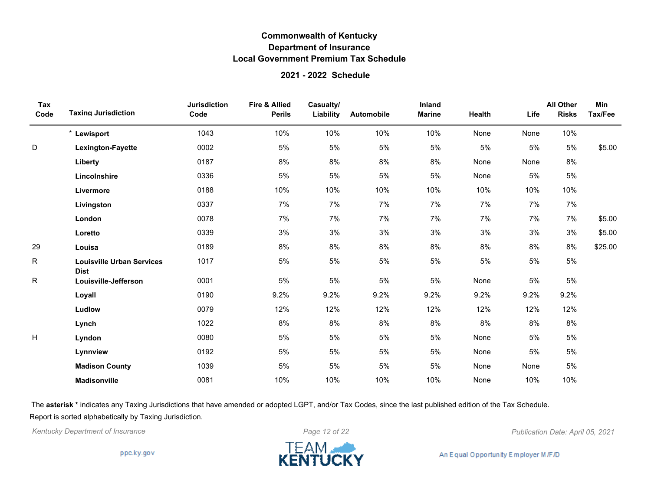#### **2021 - 2022 Schedule**

| Tax<br>Code | <b>Taxing Jurisdiction</b>                      | <b>Jurisdiction</b><br>Code | Fire & Allied<br><b>Perils</b> | Casualty/<br>Liability | Automobile | Inland<br><b>Marine</b> | Health | Life | <b>All Other</b><br><b>Risks</b> | Min<br>Tax/Fee |
|-------------|-------------------------------------------------|-----------------------------|--------------------------------|------------------------|------------|-------------------------|--------|------|----------------------------------|----------------|
|             | * Lewisport                                     | 1043                        | 10%                            | 10%                    | 10%        | 10%                     | None   | None | 10%                              |                |
| $\mathsf D$ | Lexington-Fayette                               | 0002                        | 5%                             | 5%                     | 5%         | 5%                      | 5%     | 5%   | 5%                               | \$5.00         |
|             | Liberty                                         | 0187                        | 8%                             | 8%                     | 8%         | 8%                      | None   | None | 8%                               |                |
|             | Lincolnshire                                    | 0336                        | 5%                             | 5%                     | 5%         | 5%                      | None   | 5%   | 5%                               |                |
|             | Livermore                                       | 0188                        | 10%                            | 10%                    | 10%        | 10%                     | 10%    | 10%  | 10%                              |                |
|             | Livingston                                      | 0337                        | 7%                             | 7%                     | 7%         | 7%                      | 7%     | 7%   | 7%                               |                |
|             | London                                          | 0078                        | 7%                             | 7%                     | 7%         | 7%                      | 7%     | 7%   | 7%                               | \$5.00         |
|             | Loretto                                         | 0339                        | 3%                             | 3%                     | 3%         | 3%                      | 3%     | 3%   | 3%                               | \$5.00         |
| 29          | Louisa                                          | 0189                        | 8%                             | 8%                     | 8%         | 8%                      | 8%     | 8%   | 8%                               | \$25.00        |
| R           | <b>Louisville Urban Services</b><br><b>Dist</b> | 1017                        | 5%                             | 5%                     | 5%         | 5%                      | 5%     | 5%   | 5%                               |                |
| R           | Louisville-Jefferson                            | 0001                        | 5%                             | 5%                     | 5%         | 5%                      | None   | 5%   | 5%                               |                |
|             | Loyall                                          | 0190                        | 9.2%                           | 9.2%                   | 9.2%       | 9.2%                    | 9.2%   | 9.2% | 9.2%                             |                |
|             | Ludlow                                          | 0079                        | 12%                            | 12%                    | 12%        | 12%                     | 12%    | 12%  | 12%                              |                |
|             | Lynch                                           | 1022                        | 8%                             | 8%                     | 8%         | 8%                      | 8%     | 8%   | 8%                               |                |
| H           | Lyndon                                          | 0080                        | 5%                             | 5%                     | 5%         | 5%                      | None   | 5%   | 5%                               |                |
|             | Lynnview                                        | 0192                        | 5%                             | 5%                     | 5%         | 5%                      | None   | 5%   | 5%                               |                |
|             | <b>Madison County</b>                           | 1039                        | 5%                             | 5%                     | 5%         | 5%                      | None   | None | 5%                               |                |
|             | <b>Madisonville</b>                             | 0081                        | 10%                            | 10%                    | 10%        | 10%                     | None   | 10%  | 10%                              |                |

The **asterisk \*** indicates any Taxing Jurisdictions that have amended or adopted LGPT, and/or Tax Codes, since the last published edition of the Tax Schedule. Report is sorted alphabetically by Taxing Jurisdiction.



*Kentucky Department of Insurance Page 12 of 22 Publication Date: April 05, 2021*

An Equal Opportunity Employer M/F/D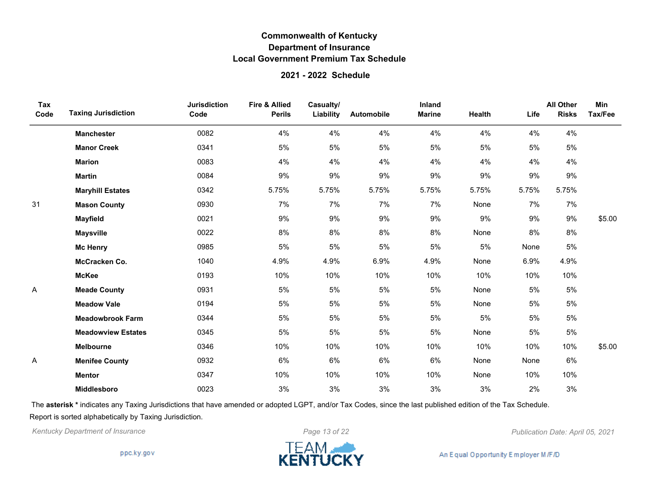### **2021 - 2022 Schedule**

| Tax<br>Code | <b>Taxing Jurisdiction</b> | <b>Jurisdiction</b><br>Code | <b>Fire &amp; Allied</b><br><b>Perils</b> | Casualty/<br>Liability | Automobile | Inland<br><b>Marine</b> | Health | Life  | <b>All Other</b><br><b>Risks</b> | Min<br>Tax/Fee |
|-------------|----------------------------|-----------------------------|-------------------------------------------|------------------------|------------|-------------------------|--------|-------|----------------------------------|----------------|
|             | <b>Manchester</b>          | 0082                        | 4%                                        | 4%                     | 4%         | 4%                      | 4%     | 4%    | 4%                               |                |
|             | <b>Manor Creek</b>         | 0341                        | 5%                                        | 5%                     | 5%         | 5%                      | 5%     | 5%    | 5%                               |                |
|             | <b>Marion</b>              | 0083                        | 4%                                        | 4%                     | 4%         | 4%                      | 4%     | 4%    | 4%                               |                |
|             | <b>Martin</b>              | 0084                        | 9%                                        | 9%                     | 9%         | 9%                      | 9%     | 9%    | 9%                               |                |
|             | <b>Maryhill Estates</b>    | 0342                        | 5.75%                                     | 5.75%                  | 5.75%      | 5.75%                   | 5.75%  | 5.75% | 5.75%                            |                |
| 31          | <b>Mason County</b>        | 0930                        | 7%                                        | 7%                     | 7%         | 7%                      | None   | 7%    | 7%                               |                |
|             | <b>Mayfield</b>            | 0021                        | 9%                                        | 9%                     | 9%         | $9\%$                   | 9%     | 9%    | 9%                               | \$5.00         |
|             | <b>Maysville</b>           | 0022                        | 8%                                        | 8%                     | 8%         | 8%                      | None   | 8%    | 8%                               |                |
|             | <b>Mc Henry</b>            | 0985                        | 5%                                        | 5%                     | 5%         | 5%                      | 5%     | None  | 5%                               |                |
|             | McCracken Co.              | 1040                        | 4.9%                                      | 4.9%                   | 6.9%       | 4.9%                    | None   | 6.9%  | 4.9%                             |                |
|             | <b>McKee</b>               | 0193                        | 10%                                       | 10%                    | 10%        | 10%                     | 10%    | 10%   | 10%                              |                |
| Α           | <b>Meade County</b>        | 0931                        | 5%                                        | 5%                     | 5%         | 5%                      | None   | 5%    | 5%                               |                |
|             | <b>Meadow Vale</b>         | 0194                        | 5%                                        | 5%                     | 5%         | 5%                      | None   | 5%    | 5%                               |                |
|             | <b>Meadowbrook Farm</b>    | 0344                        | 5%                                        | 5%                     | 5%         | 5%                      | 5%     | 5%    | 5%                               |                |
|             | <b>Meadowview Estates</b>  | 0345                        | 5%                                        | 5%                     | 5%         | 5%                      | None   | 5%    | 5%                               |                |
|             | <b>Melbourne</b>           | 0346                        | 10%                                       | 10%                    | 10%        | 10%                     | 10%    | 10%   | 10%                              | \$5.00         |
| A           | <b>Menifee County</b>      | 0932                        | 6%                                        | 6%                     | 6%         | 6%                      | None   | None  | 6%                               |                |
|             | <b>Mentor</b>              | 0347                        | 10%                                       | 10%                    | 10%        | 10%                     | None   | 10%   | 10%                              |                |
|             | <b>Middlesboro</b>         | 0023                        | 3%                                        | 3%                     | 3%         | 3%                      | 3%     | 2%    | 3%                               |                |

The **asterisk \*** indicates any Taxing Jurisdictions that have amended or adopted LGPT, and/or Tax Codes, since the last published edition of the Tax Schedule. Report is sorted alphabetically by Taxing Jurisdiction.

*Kentucky Department of Insurance Page 13 of 22 Publication Date: April 05, 2021*

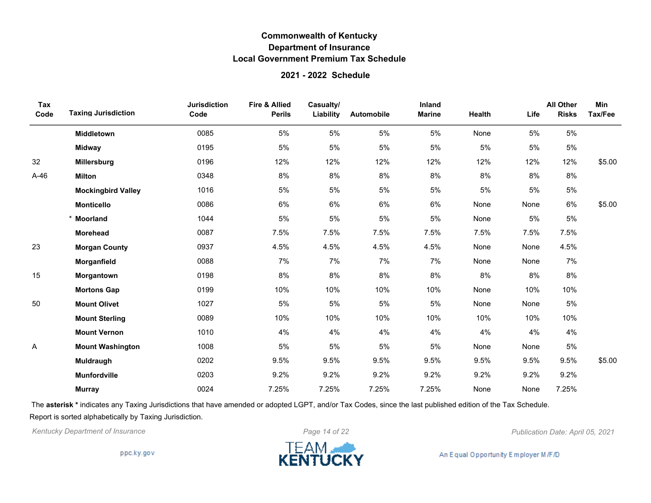### **2021 - 2022 Schedule**

| Tax<br>Code | <b>Taxing Jurisdiction</b> | <b>Jurisdiction</b><br>Code | Fire & Allied<br><b>Perils</b> | Casualty/<br>Liability | Automobile | Inland<br><b>Marine</b> | Health | Life | <b>All Other</b><br><b>Risks</b> | Min<br>Tax/Fee |
|-------------|----------------------------|-----------------------------|--------------------------------|------------------------|------------|-------------------------|--------|------|----------------------------------|----------------|
|             | <b>Middletown</b>          | 0085                        | 5%                             | 5%                     | 5%         | 5%                      | None   | 5%   | 5%                               |                |
|             | <b>Midway</b>              | 0195                        | 5%                             | 5%                     | 5%         | 5%                      | 5%     | 5%   | 5%                               |                |
| 32          | <b>Millersburg</b>         | 0196                        | 12%                            | 12%                    | 12%        | 12%                     | 12%    | 12%  | 12%                              | \$5.00         |
| $A-46$      | <b>Milton</b>              | 0348                        | 8%                             | 8%                     | 8%         | 8%                      | 8%     | 8%   | 8%                               |                |
|             | <b>Mockingbird Valley</b>  | 1016                        | 5%                             | 5%                     | 5%         | 5%                      | 5%     | 5%   | 5%                               |                |
|             | <b>Monticello</b>          | 0086                        | 6%                             | 6%                     | 6%         | 6%                      | None   | None | 6%                               | \$5.00         |
|             | <b>Moorland</b>            | 1044                        | 5%                             | 5%                     | 5%         | 5%                      | None   | 5%   | 5%                               |                |
|             | <b>Morehead</b>            | 0087                        | 7.5%                           | 7.5%                   | 7.5%       | 7.5%                    | 7.5%   | 7.5% | 7.5%                             |                |
| 23          | <b>Morgan County</b>       | 0937                        | 4.5%                           | 4.5%                   | 4.5%       | 4.5%                    | None   | None | 4.5%                             |                |
|             | Morganfield                | 0088                        | 7%                             | 7%                     | 7%         | 7%                      | None   | None | 7%                               |                |
| 15          | Morgantown                 | 0198                        | 8%                             | 8%                     | 8%         | 8%                      | $8\%$  | 8%   | 8%                               |                |
|             | <b>Mortons Gap</b>         | 0199                        | 10%                            | 10%                    | 10%        | 10%                     | None   | 10%  | 10%                              |                |
| 50          | <b>Mount Olivet</b>        | 1027                        | 5%                             | 5%                     | 5%         | 5%                      | None   | None | 5%                               |                |
|             | <b>Mount Sterling</b>      | 0089                        | 10%                            | 10%                    | 10%        | 10%                     | 10%    | 10%  | 10%                              |                |
|             | <b>Mount Vernon</b>        | 1010                        | 4%                             | 4%                     | 4%         | 4%                      | 4%     | 4%   | 4%                               |                |
| Α           | <b>Mount Washington</b>    | 1008                        | 5%                             | 5%                     | 5%         | 5%                      | None   | None | 5%                               |                |
|             | Muldraugh                  | 0202                        | 9.5%                           | 9.5%                   | 9.5%       | 9.5%                    | 9.5%   | 9.5% | 9.5%                             | \$5.00         |
|             | Munfordville               | 0203                        | 9.2%                           | 9.2%                   | 9.2%       | 9.2%                    | 9.2%   | 9.2% | 9.2%                             |                |
|             | <b>Murray</b>              | 0024                        | 7.25%                          | 7.25%                  | 7.25%      | 7.25%                   | None   | None | 7.25%                            |                |

The **asterisk \*** indicates any Taxing Jurisdictions that have amended or adopted LGPT, and/or Tax Codes, since the last published edition of the Tax Schedule. Report is sorted alphabetically by Taxing Jurisdiction.

*Kentucky Department of Insurance Page 14 of 22 Publication Date: April 05, 2021*

ppc.ky.gov

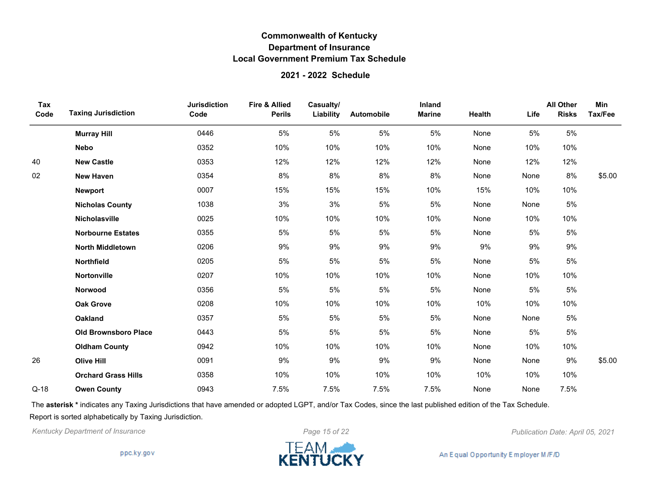### **2021 - 2022 Schedule**

| Tax<br>Code | <b>Taxing Jurisdiction</b>  | <b>Jurisdiction</b><br>Code | <b>Fire &amp; Allied</b><br><b>Perils</b> | Casualty/<br>Liability | <b>Automobile</b> | Inland<br><b>Marine</b> | Health | Life | <b>All Other</b><br><b>Risks</b> | <b>Min</b><br>Tax/Fee |
|-------------|-----------------------------|-----------------------------|-------------------------------------------|------------------------|-------------------|-------------------------|--------|------|----------------------------------|-----------------------|
|             | <b>Murray Hill</b>          | 0446                        | 5%                                        | 5%                     | 5%                | 5%                      | None   | 5%   | 5%                               |                       |
|             | <b>Nebo</b>                 | 0352                        | 10%                                       | 10%                    | 10%               | 10%                     | None   | 10%  | 10%                              |                       |
| 40          | <b>New Castle</b>           | 0353                        | 12%                                       | 12%                    | 12%               | 12%                     | None   | 12%  | 12%                              |                       |
| 02          | <b>New Haven</b>            | 0354                        | 8%                                        | 8%                     | 8%                | 8%                      | None   | None | 8%                               | \$5.00                |
|             | <b>Newport</b>              | 0007                        | 15%                                       | 15%                    | 15%               | 10%                     | 15%    | 10%  | 10%                              |                       |
|             | <b>Nicholas County</b>      | 1038                        | 3%                                        | 3%                     | 5%                | 5%                      | None   | None | 5%                               |                       |
|             | Nicholasville               | 0025                        | 10%                                       | 10%                    | 10%               | 10%                     | None   | 10%  | 10%                              |                       |
|             | <b>Norbourne Estates</b>    | 0355                        | 5%                                        | 5%                     | 5%                | 5%                      | None   | 5%   | 5%                               |                       |
|             | <b>North Middletown</b>     | 0206                        | 9%                                        | 9%                     | 9%                | 9%                      | 9%     | 9%   | 9%                               |                       |
|             | <b>Northfield</b>           | 0205                        | 5%                                        | 5%                     | 5%                | 5%                      | None   | 5%   | 5%                               |                       |
|             | <b>Nortonville</b>          | 0207                        | 10%                                       | 10%                    | 10%               | 10%                     | None   | 10%  | 10%                              |                       |
|             | Norwood                     | 0356                        | 5%                                        | 5%                     | 5%                | 5%                      | None   | 5%   | 5%                               |                       |
|             | <b>Oak Grove</b>            | 0208                        | 10%                                       | 10%                    | 10%               | 10%                     | 10%    | 10%  | 10%                              |                       |
|             | <b>Oakland</b>              | 0357                        | 5%                                        | 5%                     | 5%                | 5%                      | None   | None | 5%                               |                       |
|             | <b>Old Brownsboro Place</b> | 0443                        | 5%                                        | 5%                     | 5%                | 5%                      | None   | 5%   | 5%                               |                       |
|             | <b>Oldham County</b>        | 0942                        | 10%                                       | 10%                    | 10%               | 10%                     | None   | 10%  | 10%                              |                       |
| 26          | <b>Olive Hill</b>           | 0091                        | 9%                                        | 9%                     | 9%                | 9%                      | None   | None | 9%                               | \$5.00                |
|             | <b>Orchard Grass Hills</b>  | 0358                        | 10%                                       | 10%                    | 10%               | 10%                     | 10%    | 10%  | 10%                              |                       |
| $Q-18$      | <b>Owen County</b>          | 0943                        | 7.5%                                      | 7.5%                   | 7.5%              | 7.5%                    | None   | None | 7.5%                             |                       |

The **asterisk \*** indicates any Taxing Jurisdictions that have amended or adopted LGPT, and/or Tax Codes, since the last published edition of the Tax Schedule. Report is sorted alphabetically by Taxing Jurisdiction.

*Kentucky Department of Insurance Page 15 of 22 Publication Date: April 05, 2021*

ppc.ky.gov

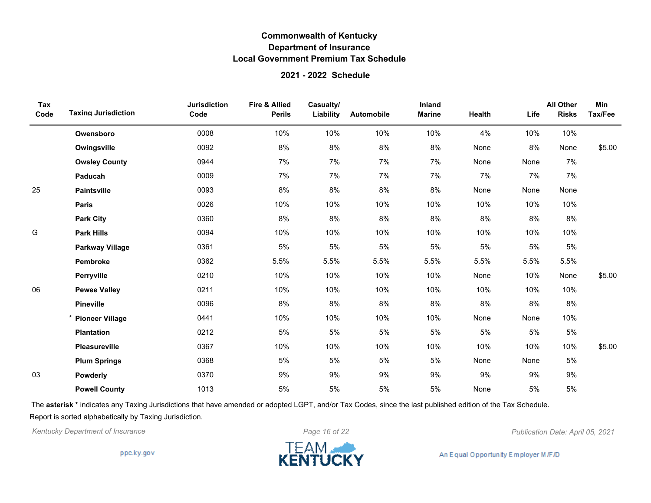#### **2021 - 2022 Schedule**

| Tax<br>Code | <b>Taxing Jurisdiction</b> | <b>Jurisdiction</b><br>Code | Fire & Allied<br><b>Perils</b> | Casualty/<br>Liability | Automobile | Inland<br><b>Marine</b> | Health | Life | <b>All Other</b><br><b>Risks</b> | Min<br>Tax/Fee |
|-------------|----------------------------|-----------------------------|--------------------------------|------------------------|------------|-------------------------|--------|------|----------------------------------|----------------|
|             | Owensboro                  | 0008                        | 10%                            | 10%                    | 10%        | 10%                     | 4%     | 10%  | 10%                              |                |
|             | Owingsville                | 0092                        | 8%                             | 8%                     | 8%         | 8%                      | None   | 8%   | None                             | \$5.00         |
|             | <b>Owsley County</b>       | 0944                        | 7%                             | 7%                     | 7%         | 7%                      | None   | None | 7%                               |                |
|             | Paducah                    | 0009                        | 7%                             | 7%                     | 7%         | 7%                      | 7%     | 7%   | 7%                               |                |
| 25          | <b>Paintsville</b>         | 0093                        | $8\%$                          | 8%                     | $8\%$      | $8\%$                   | None   | None | None                             |                |
|             | <b>Paris</b>               | 0026                        | 10%                            | 10%                    | 10%        | 10%                     | 10%    | 10%  | 10%                              |                |
|             | <b>Park City</b>           | 0360                        | 8%                             | 8%                     | 8%         | 8%                      | 8%     | 8%   | 8%                               |                |
| G           | <b>Park Hills</b>          | 0094                        | 10%                            | 10%                    | 10%        | 10%                     | 10%    | 10%  | 10%                              |                |
|             | <b>Parkway Village</b>     | 0361                        | 5%                             | $5\%$                  | 5%         | 5%                      | 5%     | 5%   | $5\%$                            |                |
|             | Pembroke                   | 0362                        | 5.5%                           | 5.5%                   | 5.5%       | 5.5%                    | 5.5%   | 5.5% | 5.5%                             |                |
|             | Perryville                 | 0210                        | 10%                            | 10%                    | 10%        | 10%                     | None   | 10%  | None                             | \$5.00         |
| 06          | <b>Pewee Valley</b>        | 0211                        | 10%                            | 10%                    | 10%        | 10%                     | 10%    | 10%  | 10%                              |                |
|             | <b>Pineville</b>           | 0096                        | 8%                             | 8%                     | 8%         | 8%                      | 8%     | 8%   | 8%                               |                |
|             | <b>Pioneer Village</b>     | 0441                        | 10%                            | 10%                    | 10%        | 10%                     | None   | None | 10%                              |                |
|             | <b>Plantation</b>          | 0212                        | 5%                             | 5%                     | 5%         | 5%                      | 5%     | 5%   | 5%                               |                |
|             | Pleasureville              | 0367                        | 10%                            | 10%                    | 10%        | 10%                     | 10%    | 10%  | 10%                              | \$5.00         |
|             | <b>Plum Springs</b>        | 0368                        | 5%                             | 5%                     | 5%         | 5%                      | None   | None | 5%                               |                |
| 03          | Powderly                   | 0370                        | 9%                             | 9%                     | 9%         | 9%                      | 9%     | 9%   | 9%                               |                |
|             | <b>Powell County</b>       | 1013                        | 5%                             | 5%                     | 5%         | 5%                      | None   | 5%   | 5%                               |                |

The **asterisk \*** indicates any Taxing Jurisdictions that have amended or adopted LGPT, and/or Tax Codes, since the last published edition of the Tax Schedule. Report is sorted alphabetically by Taxing Jurisdiction.

*Kentucky Department of Insurance Page 16 of 22 Publication Date: April 05, 2021*

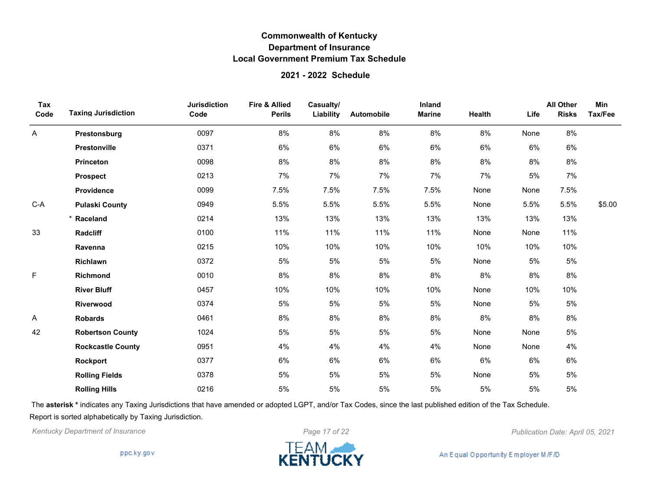#### **2021 - 2022 Schedule**

| Tax<br>Code | <b>Taxing Jurisdiction</b> | <b>Jurisdiction</b><br>Code | Fire & Allied<br><b>Perils</b> | Casualty/<br>Liability | Automobile | Inland<br><b>Marine</b> | Health | Life | <b>All Other</b><br><b>Risks</b> | Min<br>Tax/Fee |
|-------------|----------------------------|-----------------------------|--------------------------------|------------------------|------------|-------------------------|--------|------|----------------------------------|----------------|
| Α           | Prestonsburg               | 0097                        | 8%                             | 8%                     | 8%         | 8%                      | 8%     | None | 8%                               |                |
|             | Prestonville               | 0371                        | 6%                             | 6%                     | 6%         | 6%                      | 6%     | 6%   | 6%                               |                |
|             | <b>Princeton</b>           | 0098                        | 8%                             | 8%                     | $8\%$      | $8\%$                   | $8\%$  | 8%   | $8\%$                            |                |
|             | <b>Prospect</b>            | 0213                        | 7%                             | 7%                     | 7%         | 7%                      | 7%     | 5%   | 7%                               |                |
|             | Providence                 | 0099                        | 7.5%                           | 7.5%                   | 7.5%       | 7.5%                    | None   | None | 7.5%                             |                |
| $C-A$       | <b>Pulaski County</b>      | 0949                        | 5.5%                           | 5.5%                   | 5.5%       | 5.5%                    | None   | 5.5% | 5.5%                             | \$5.00         |
|             | * Raceland                 | 0214                        | 13%                            | 13%                    | 13%        | 13%                     | 13%    | 13%  | 13%                              |                |
| 33          | Radcliff                   | 0100                        | 11%                            | 11%                    | 11%        | 11%                     | None   | None | 11%                              |                |
|             | Ravenna                    | 0215                        | 10%                            | 10%                    | 10%        | 10%                     | 10%    | 10%  | 10%                              |                |
|             | Richlawn                   | 0372                        | 5%                             | 5%                     | 5%         | 5%                      | None   | 5%   | $5\%$                            |                |
| F           | Richmond                   | 0010                        | 8%                             | 8%                     | $8\%$      | 8%                      | 8%     | 8%   | 8%                               |                |
|             | <b>River Bluff</b>         | 0457                        | 10%                            | 10%                    | 10%        | 10%                     | None   | 10%  | 10%                              |                |
|             | Riverwood                  | 0374                        | 5%                             | 5%                     | 5%         | 5%                      | None   | 5%   | $5\%$                            |                |
| Α           | <b>Robards</b>             | 0461                        | 8%                             | 8%                     | 8%         | 8%                      | 8%     | 8%   | 8%                               |                |
| 42          | <b>Robertson County</b>    | 1024                        | 5%                             | 5%                     | 5%         | 5%                      | None   | None | $5\%$                            |                |
|             | <b>Rockcastle County</b>   | 0951                        | 4%                             | 4%                     | 4%         | 4%                      | None   | None | 4%                               |                |
|             | Rockport                   | 0377                        | 6%                             | 6%                     | 6%         | 6%                      | 6%     | 6%   | 6%                               |                |
|             | <b>Rolling Fields</b>      | 0378                        | 5%                             | 5%                     | 5%         | 5%                      | None   | 5%   | $5\%$                            |                |
|             | <b>Rolling Hills</b>       | 0216                        | 5%                             | 5%                     | 5%         | 5%                      | 5%     | 5%   | 5%                               |                |

The **asterisk \*** indicates any Taxing Jurisdictions that have amended or adopted LGPT, and/or Tax Codes, since the last published edition of the Tax Schedule. Report is sorted alphabetically by Taxing Jurisdiction.

*Kentucky Department of Insurance Page 17 of 22 Publication Date: April 05, 2021*

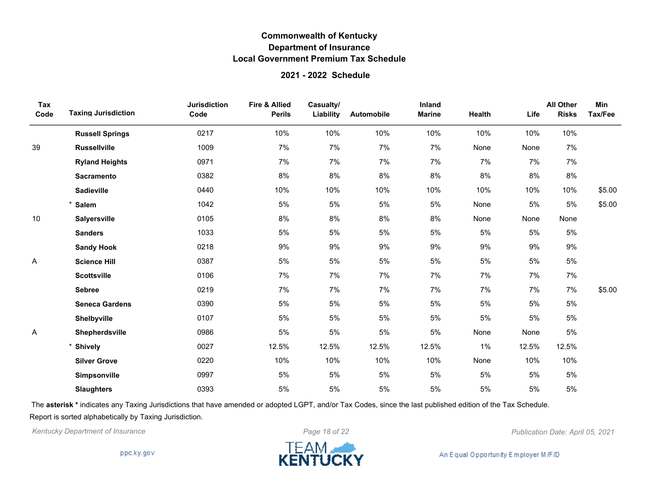#### **2021 - 2022 Schedule**

| Tax<br>Code | <b>Taxing Jurisdiction</b> | <b>Jurisdiction</b><br>Code | <b>Fire &amp; Allied</b><br><b>Perils</b> | Casualty/<br>Liability | Automobile | Inland<br><b>Marine</b> | Health | Life  | <b>All Other</b><br><b>Risks</b> | Min<br>Tax/Fee |
|-------------|----------------------------|-----------------------------|-------------------------------------------|------------------------|------------|-------------------------|--------|-------|----------------------------------|----------------|
|             | <b>Russell Springs</b>     | 0217                        | 10%                                       | 10%                    | 10%        | 10%                     | 10%    | 10%   | 10%                              |                |
| 39          | <b>Russellville</b>        | 1009                        | 7%                                        | 7%                     | 7%         | 7%                      | None   | None  | 7%                               |                |
|             | <b>Ryland Heights</b>      | 0971                        | 7%                                        | 7%                     | 7%         | 7%                      | 7%     | 7%    | 7%                               |                |
|             | <b>Sacramento</b>          | 0382                        | $8\%$                                     | $8\%$                  | $8\%$      | $8\%$                   | $8\%$  | 8%    | $8\%$                            |                |
|             | <b>Sadieville</b>          | 0440                        | 10%                                       | 10%                    | 10%        | 10%                     | 10%    | 10%   | 10%                              | \$5.00         |
|             | <b>Salem</b>               | 1042                        | 5%                                        | 5%                     | 5%         | 5%                      | None   | 5%    | 5%                               | \$5.00         |
| 10          | <b>Salyersville</b>        | 0105                        | 8%                                        | 8%                     | 8%         | $8\%$                   | None   | None  | None                             |                |
|             | <b>Sanders</b>             | 1033                        | 5%                                        | 5%                     | 5%         | 5%                      | 5%     | 5%    | 5%                               |                |
|             | <b>Sandy Hook</b>          | 0218                        | $9\%$                                     | $9\%$                  | $9\%$      | $9\%$                   | $9\%$  | 9%    | 9%                               |                |
| A           | <b>Science Hill</b>        | 0387                        | 5%                                        | $5\%$                  | 5%         | 5%                      | 5%     | 5%    | 5%                               |                |
|             | <b>Scottsville</b>         | 0106                        | 7%                                        | 7%                     | 7%         | 7%                      | 7%     | 7%    | 7%                               |                |
|             | <b>Sebree</b>              | 0219                        | 7%                                        | 7%                     | 7%         | 7%                      | 7%     | 7%    | 7%                               | \$5.00         |
|             | <b>Seneca Gardens</b>      | 0390                        | 5%                                        | $5\%$                  | 5%         | 5%                      | 5%     | 5%    | 5%                               |                |
|             | Shelbyville                | 0107                        | 5%                                        | 5%                     | 5%         | 5%                      | 5%     | 5%    | 5%                               |                |
| A           | Shepherdsville             | 0986                        | 5%                                        | $5\%$                  | 5%         | 5%                      | None   | None  | 5%                               |                |
|             | <b>Shively</b>             | 0027                        | 12.5%                                     | 12.5%                  | 12.5%      | 12.5%                   | 1%     | 12.5% | 12.5%                            |                |
|             | <b>Silver Grove</b>        | 0220                        | 10%                                       | 10%                    | 10%        | 10%                     | None   | 10%   | 10%                              |                |
|             | Simpsonville               | 0997                        | 5%                                        | 5%                     | 5%         | 5%                      | 5%     | 5%    | 5%                               |                |
|             | <b>Slaughters</b>          | 0393                        | 5%                                        | 5%                     | 5%         | 5%                      | 5%     | 5%    | 5%                               |                |

The **asterisk \*** indicates any Taxing Jurisdictions that have amended or adopted LGPT, and/or Tax Codes, since the last published edition of the Tax Schedule. Report is sorted alphabetically by Taxing Jurisdiction.

*Kentucky Department of Insurance Page 18 of 22 Publication Date: April 05, 2021*

ppc.ky.gov

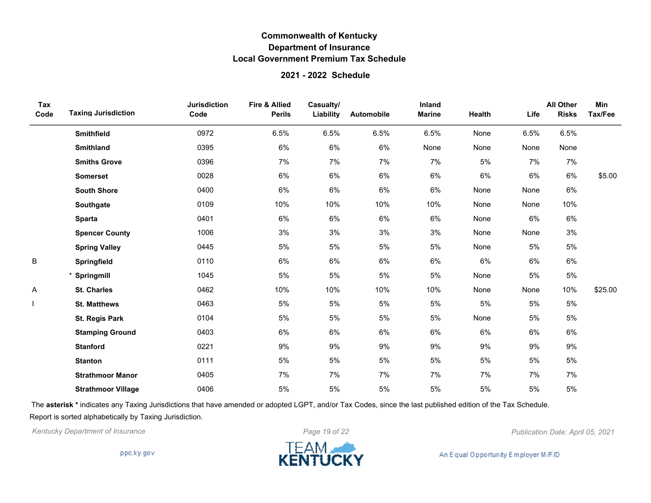### **2021 - 2022 Schedule**

| Tax<br>Code | <b>Taxing Jurisdiction</b> | <b>Jurisdiction</b><br>Code | <b>Fire &amp; Allied</b><br><b>Perils</b> | Casualty/<br>Liability | Automobile | Inland<br><b>Marine</b> | Health | Life | <b>All Other</b><br><b>Risks</b> | Min<br>Tax/Fee |
|-------------|----------------------------|-----------------------------|-------------------------------------------|------------------------|------------|-------------------------|--------|------|----------------------------------|----------------|
|             | <b>Smithfield</b>          | 0972                        | 6.5%                                      | 6.5%                   | 6.5%       | 6.5%                    | None   | 6.5% | 6.5%                             |                |
|             | <b>Smithland</b>           | 0395                        | 6%                                        | 6%                     | $6\%$      | None                    | None   | None | None                             |                |
|             | <b>Smiths Grove</b>        | 0396                        | 7%                                        | 7%                     | 7%         | 7%                      | 5%     | 7%   | 7%                               |                |
|             | <b>Somerset</b>            | 0028                        | 6%                                        | 6%                     | 6%         | 6%                      | 6%     | 6%   | 6%                               | \$5.00         |
|             | <b>South Shore</b>         | 0400                        | $6\%$                                     | 6%                     | $6\%$      | 6%                      | None   | None | 6%                               |                |
|             | Southgate                  | 0109                        | 10%                                       | 10%                    | 10%        | 10%                     | None   | None | 10%                              |                |
|             | <b>Sparta</b>              | 0401                        | 6%                                        | 6%                     | $6\%$      | 6%                      | None   | 6%   | 6%                               |                |
|             | <b>Spencer County</b>      | 1006                        | 3%                                        | 3%                     | 3%         | 3%                      | None   | None | 3%                               |                |
|             | <b>Spring Valley</b>       | 0445                        | 5%                                        | 5%                     | 5%         | 5%                      | None   | 5%   | $5\%$                            |                |
| B           | Springfield                | 0110                        | 6%                                        | 6%                     | 6%         | 6%                      | 6%     | 6%   | 6%                               |                |
|             | * Springmill               | 1045                        | 5%                                        | 5%                     | 5%         | 5%                      | None   | 5%   | 5%                               |                |
| Α           | <b>St. Charles</b>         | 0462                        | 10%                                       | 10%                    | 10%        | 10%                     | None   | None | 10%                              | \$25.00        |
|             | <b>St. Matthews</b>        | 0463                        | 5%                                        | 5%                     | 5%         | 5%                      | 5%     | 5%   | $5\%$                            |                |
|             | St. Regis Park             | 0104                        | 5%                                        | 5%                     | 5%         | 5%                      | None   | 5%   | 5%                               |                |
|             | <b>Stamping Ground</b>     | 0403                        | 6%                                        | 6%                     | $6\%$      | 6%                      | 6%     | 6%   | 6%                               |                |
|             | <b>Stanford</b>            | 0221                        | 9%                                        | 9%                     | 9%         | 9%                      | 9%     | 9%   | 9%                               |                |
|             | <b>Stanton</b>             | 0111                        | 5%                                        | 5%                     | 5%         | 5%                      | 5%     | 5%   | 5%                               |                |
|             | <b>Strathmoor Manor</b>    | 0405                        | 7%                                        | 7%                     | 7%         | 7%                      | 7%     | 7%   | 7%                               |                |
|             | <b>Strathmoor Village</b>  | 0406                        | 5%                                        | 5%                     | 5%         | 5%                      | 5%     | 5%   | 5%                               |                |

The **asterisk \*** indicates any Taxing Jurisdictions that have amended or adopted LGPT, and/or Tax Codes, since the last published edition of the Tax Schedule. Report is sorted alphabetically by Taxing Jurisdiction.

*Kentucky Department of Insurance Page 19 of 22 Publication Date: April 05, 2021*

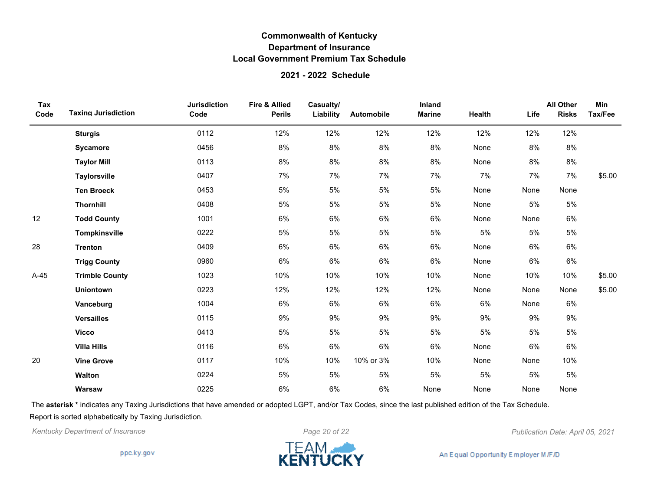### **2021 - 2022 Schedule**

| Tax<br>Code | <b>Taxing Jurisdiction</b> | <b>Jurisdiction</b><br>Code | Fire & Allied<br><b>Perils</b> | Casualty/<br>Liability | Automobile | Inland<br><b>Marine</b> | Health | Life | <b>All Other</b><br><b>Risks</b> | Min<br>Tax/Fee |
|-------------|----------------------------|-----------------------------|--------------------------------|------------------------|------------|-------------------------|--------|------|----------------------------------|----------------|
|             | <b>Sturgis</b>             | 0112                        | 12%                            | 12%                    | 12%        | 12%                     | 12%    | 12%  | 12%                              |                |
|             | Sycamore                   | 0456                        | 8%                             | 8%                     | 8%         | 8%                      | None   | 8%   | 8%                               |                |
|             | <b>Taylor Mill</b>         | 0113                        | 8%                             | 8%                     | 8%         | 8%                      | None   | 8%   | 8%                               |                |
|             | <b>Taylorsville</b>        | 0407                        | 7%                             | 7%                     | 7%         | 7%                      | 7%     | 7%   | 7%                               | \$5.00         |
|             | <b>Ten Broeck</b>          | 0453                        | 5%                             | 5%                     | 5%         | 5%                      | None   | None | None                             |                |
|             | <b>Thornhill</b>           | 0408                        | 5%                             | 5%                     | 5%         | 5%                      | None   | 5%   | 5%                               |                |
| 12          | <b>Todd County</b>         | 1001                        | 6%                             | $6\%$                  | 6%         | 6%                      | None   | None | 6%                               |                |
|             | Tompkinsville              | 0222                        | 5%                             | 5%                     | 5%         | 5%                      | 5%     | 5%   | 5%                               |                |
| 28          | <b>Trenton</b>             | 0409                        | 6%                             | $6\%$                  | 6%         | 6%                      | None   | 6%   | 6%                               |                |
|             | <b>Trigg County</b>        | 0960                        | 6%                             | 6%                     | 6%         | 6%                      | None   | 6%   | 6%                               |                |
| $A-45$      | <b>Trimble County</b>      | 1023                        | 10%                            | 10%                    | 10%        | 10%                     | None   | 10%  | 10%                              | \$5.00         |
|             | <b>Uniontown</b>           | 0223                        | 12%                            | 12%                    | 12%        | 12%                     | None   | None | None                             | \$5.00         |
|             | Vanceburg                  | 1004                        | 6%                             | 6%                     | 6%         | 6%                      | 6%     | None | 6%                               |                |
|             | <b>Versailles</b>          | 0115                        | 9%                             | 9%                     | 9%         | 9%                      | $9\%$  | 9%   | 9%                               |                |
|             | <b>Vicco</b>               | 0413                        | 5%                             | 5%                     | 5%         | 5%                      | 5%     | 5%   | 5%                               |                |
|             | <b>Villa Hills</b>         | 0116                        | 6%                             | 6%                     | 6%         | 6%                      | None   | 6%   | 6%                               |                |
| 20          | <b>Vine Grove</b>          | 0117                        | 10%                            | 10%                    | 10% or 3%  | 10%                     | None   | None | 10%                              |                |
|             | <b>Walton</b>              | 0224                        | 5%                             | $5\%$                  | 5%         | 5%                      | 5%     | 5%   | 5%                               |                |
|             | Warsaw                     | 0225                        | 6%                             | 6%                     | 6%         | None                    | None   | None | None                             |                |

The **asterisk \*** indicates any Taxing Jurisdictions that have amended or adopted LGPT, and/or Tax Codes, since the last published edition of the Tax Schedule. Report is sorted alphabetically by Taxing Jurisdiction.



ppc.ky.gov

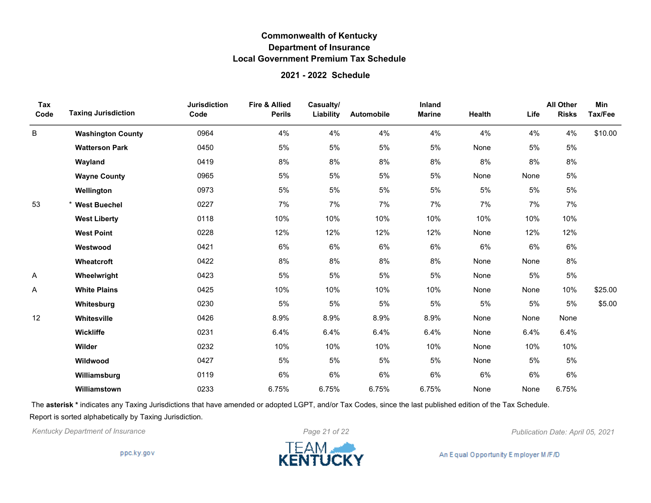#### **2021 - 2022 Schedule**

| Tax<br>Code | <b>Taxing Jurisdiction</b> | <b>Jurisdiction</b><br>Code | <b>Fire &amp; Allied</b><br><b>Perils</b> | Casualty/<br>Liability | <b>Automobile</b> | Inland<br><b>Marine</b> | Health | Life | <b>All Other</b><br><b>Risks</b> | Min<br>Tax/Fee |
|-------------|----------------------------|-----------------------------|-------------------------------------------|------------------------|-------------------|-------------------------|--------|------|----------------------------------|----------------|
| B           | <b>Washington County</b>   | 0964                        | 4%                                        | 4%                     | 4%                | 4%                      | 4%     | 4%   | 4%                               | \$10.00        |
|             | <b>Watterson Park</b>      | 0450                        | 5%                                        | 5%                     | 5%                | 5%                      | None   | 5%   | 5%                               |                |
|             | Wayland                    | 0419                        | 8%                                        | 8%                     | 8%                | 8%                      | 8%     | 8%   | 8%                               |                |
|             | <b>Wayne County</b>        | 0965                        | 5%                                        | 5%                     | 5%                | 5%                      | None   | None | 5%                               |                |
|             | Wellington                 | 0973                        | 5%                                        | 5%                     | 5%                | 5%                      | 5%     | 5%   | 5%                               |                |
| 53          | <b>West Buechel</b>        | 0227                        | 7%                                        | 7%                     | 7%                | 7%                      | 7%     | 7%   | 7%                               |                |
|             | <b>West Liberty</b>        | 0118                        | 10%                                       | 10%                    | 10%               | 10%                     | 10%    | 10%  | 10%                              |                |
|             | <b>West Point</b>          | 0228                        | 12%                                       | 12%                    | 12%               | 12%                     | None   | 12%  | 12%                              |                |
|             | Westwood                   | 0421                        | 6%                                        | $6\%$                  | 6%                | $6\%$                   | $6\%$  | 6%   | $6\%$                            |                |
|             | Wheatcroft                 | 0422                        | 8%                                        | 8%                     | 8%                | 8%                      | None   | None | 8%                               |                |
| Α           | Wheelwright                | 0423                        | 5%                                        | 5%                     | 5%                | 5%                      | None   | 5%   | 5%                               |                |
| Α           | <b>White Plains</b>        | 0425                        | 10%                                       | 10%                    | 10%               | 10%                     | None   | None | 10%                              | \$25.00        |
|             | Whitesburg                 | 0230                        | 5%                                        | 5%                     | 5%                | 5%                      | 5%     | 5%   | 5%                               | \$5.00         |
| 12          | Whitesville                | 0426                        | 8.9%                                      | 8.9%                   | 8.9%              | 8.9%                    | None   | None | None                             |                |
|             | Wickliffe                  | 0231                        | 6.4%                                      | 6.4%                   | 6.4%              | 6.4%                    | None   | 6.4% | 6.4%                             |                |
|             | Wilder                     | 0232                        | 10%                                       | 10%                    | 10%               | 10%                     | None   | 10%  | 10%                              |                |
|             | Wildwood                   | 0427                        | 5%                                        | 5%                     | 5%                | 5%                      | None   | 5%   | 5%                               |                |
|             | Williamsburg               | 0119                        | 6%                                        | 6%                     | 6%                | 6%                      | 6%     | 6%   | 6%                               |                |
|             | Williamstown               | 0233                        | 6.75%                                     | 6.75%                  | 6.75%             | 6.75%                   | None   | None | 6.75%                            |                |

The **asterisk \*** indicates any Taxing Jurisdictions that have amended or adopted LGPT, and/or Tax Codes, since the last published edition of the Tax Schedule. Report is sorted alphabetically by Taxing Jurisdiction.

*Kentucky Department of Insurance Page 21 of 22 Publication Date: April 05, 2021*